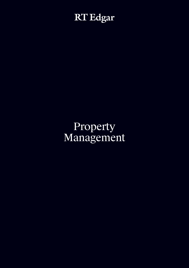# RT Edgar

## Property Management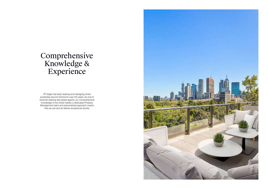RT Edgar has been leasing and managing rental properties around Victoria for over 120 years. As one of Victoria's leading real estate agents, our comprehensive knowledge of the rental market, a dedicated Property Management team and personalised approach means that we can and do deliver exceptional results.



## **Comprehensive** Knowledge & Experience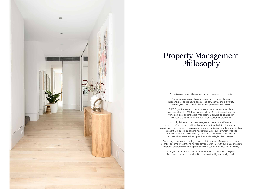Property management is as much about people as it is property.

Property management has undergone some major changes in recent years and is now a specialised service that offers a variety of management options for both rental providers and renters.

At RT Edgar, the secret of our success is the importance we place on personal service. We have structured our offices to provide clients with a complete and individual management service, specialising in all aspects of vacant and fully-furnished residential properties.

With highly trained portfolio managers and support staff we can assure all of our rental providers that we understand both the financial and emotional importance of managing your property and believe good communication is essential in building a trusting relationship. All of our staff attend regular professional development training sessions to ensure we are always up to date with current industry practices and any legislative changes.

Our weekly department meetings review all lettings, identify properties that are vacant or becoming vacant and we regularly communicate with our rental providers regarding progress on their property, always ensuring tenancies run efficiently.

RT Edgar has an enviable reputation for results and with over 120 years of experience we are committed to providing the highest quality service.



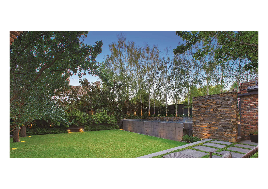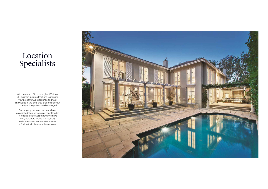Our property management team have established themselves as a market leader in leasing residential property. We have many corporate clients and regularly assist executive relocation companies in finding their clients a suitable home.



# Location Specialists

With executive offices throughout Victoria, RT Edgar are in prime locations to manage your property. Our experience and vast knowledge of the local area ensures that your property will be professionally managed.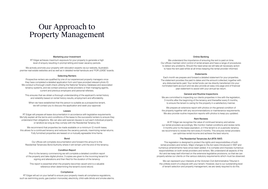#### Online Banking

We understand the importance of ensuring the rent is paid on time. Our offices maintain strict control of rental arrears and have a range of procedures to detect any problems. Should the need arise we will take all necessary action to have the rent paid whilst at all times keeping the rental provider informed.

### **Statements**

We are committed to inspecting our clients properties in line with the legislation. 3 months after the beginning of the tenancy and thereafter every 6 months, to ensure the tenant is caring for the property in a satisfactory manner.

We prepare an extensive report with photos on the general condition of the property together with any recommendations or maintenance requirements. We also provide routine inspection reports with photos to keep you updated.

Each month we prepare and forward a detailed statement for your properties. The statement provides the paid to dates and the amount collected, together with any disbursements paid. Your rental funds can be directly transferred into your nominated bank account and we also provide an easy one page end of financial year statement to assist with your annual tax return.

#### General and Routine Inspections

At RT Edgar we recognise the value of continued tenancy and advise our rental providers accordingly. We monitor market conditions and review rents 3 months prior to the lease expiration, or if the tenant is on a periodic tenancy we recommend to review the rent every 6 months. This ensures rental providers can optimise rental income and achieve the best returns.

#### Rent Reviews

## The Residential Tenancies Act (RTA 1997)

This legislation is designed to protect the rights and responsibilities of both rental providers and renters. Major changes to the Act were introduced in 1997 and numerous amendments have since been added. It is complex and imposes numerous responsibilities on both rental providers and renters. We understand all aspects of the Act and we keep well informed on the extensive legislative provisions, so that we can properly advise our clients on the various statutory requirements which must be observed.

We recommend that properties be made available on a minimum 12 month lease, this allows for a continued tenancy and reduces the vacancy periods, maximizing rental returns. Fully furnished properties are leased on a mutually agreeable time frame.

> We can represent your interests at the Victorian Civil Administrative Tribunal in the unlikely event of a dispute with your tenant. However, due to our outstanding level of tenant selection and property management, we are rarely required to do this.

#### Marketing your Investment

RT Edgar achieves maximum exposure for your property to generate a high level of enquiry resulting in prompt letting and lower vacancy periods.

We actively promote your property with relocation experts via our website, Australia's premier real estate websites and as well as in detailed rental handouts and 'FOR LEASE' boards.

### Selecting Renters

Prospective renters are qualified by one of our experienced property managers once they have completed a detailed application form and have provided relevant photo ID. We conduct a thorough credit check utilising the National Tenancy Database and associated tenancy systems, and we contact previous rental providers or their managing agents, current and previous employers and personal referees.

This ensures that we obtain a thorough understanding of the applicant's rental history and reliability based on rental history results, employment and affordability.

When we have established that the person is suitable as a prospective tenant, we will contact you to discuss the application and seek your approval.

#### Leases

RT Edgar will prepare all lease documentation in accordance with legislative requirements. We fully explain all the terms and conditions of the lease to the successful renters to ensure they understand their obligations. We can also add special clauses to suit each individual property or landlord as long as they comply with the Residential Tenancy Act.

### Bond

Our offices will complete documentation and forward this amount to the Residential Tenancies Bond Authority where it will remain until the end of the tenancy.

### Condition Report

Prior to the tenancy commencing we will complete a detailed condition report of the property and take digital photos. 3 copies are given to the incoming tenant for signing and alterations and then filed for the duration of the tenancy.

This report is essential when the property becomes vacant and is a valuable reference when determining the tenant's bond refund.

#### **Compliance**

RT Edgar will act on your behalf to ensure your property meets all compliance regulations, such as swimming pools, gas (carbon monoxide), electricity, child-safe blinds and smoke alarms.

## Our Approach to Property Management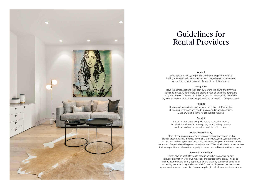

# Guidelines for Rental Providers

### Appeal

Street appeal is always important and presenting a home that is inviting, clean and well maintained will encourage house proud renters, who will be happy to maintain the condition of the property.

### The garden

Have the gardens looking their best by mowing the lawns and trimming trees and shrubs. Clear gutters and drains of rubbish and consider putting in gutter guard to ensure they don't re-block. You may also like to employ a gardener who will take care of the garden to your standard on a regular basis.

#### Fencing

Repair any fencing that is falling down or in disrepair. Ensure that all decking, verandahs and sheds are safe and in good condition. Make any repairs to the house that are required.

#### Repaint

It may be necessary to repaint some areas of the house, both inside and outside. A heavy duty paint that is quite easy to clean can help preserve the condition of the house.

## Professional cleaning

Before introducing any prospective renters to the property, ensure that it is well presented. This includes all curtains and fixtures, ovens, cupboards, any dishwasher or other appliance that is being retained in the property and of course, bathrooms. Carpets should be professionally cleaned. We make it clear to all our renters that we expect them to leave the property in the same condition when they move out.

### Additional information

It may also be useful for you to provide us with a file containing any relevant information, which we may copy and provide to the client. This could include user manuals for any appliances on the property, such as air conditioner or heating systems. It might also include information of the area like the closest supermarket or when the rubbish bins are emptied, to help the renters feel welcome.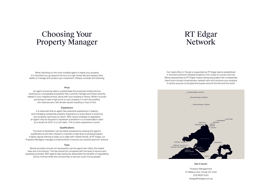

When deciding on the most suitable agent to lease your property it's important you go beyond the lure of a high rental rate and assess their ability to manage and protect your investment. Please consider the following:

#### Price

An agent should be able to substantiate the proposed rental price by showing you comparable properties they currently manage and those recently leased in your neighbourhood, along with your property's history. While it sounds promising to hear a high price on your property if it can't be justified, the chances are it will remain vacant resulting in loss of rent.

#### **Experience**

Rental providers should not necessarily use the agent who offers the lowest fees and commission. The fee should be compared with the level of service and expertise provided. With agents fees being tax deductible the benefits of negotiating will be minimal while the compromise of service could not be greater.

It is essential that an agent has extensive experience in leasing and managing residential property. Experience is a key factor to ensuring your property optimises its return. With recent changes to legislation an agent may be required to represent a landlord in a compensation claim by a tenant at VCAT or a civil claim. This is when experience counts.

#### **Qualifications**

The level of dedication can be easily assessed by viewing the agent's qualifications and their interest to maintain a high level of professionalism. It takes regular training to keep up to date with market trends. At RT Edgar, our Property Managers manage a small portfolio to ensure you receive optimum service.

#### Fees

## Choosing Your Property Manager

## RT Edgar Network

Our head office in Toorak is supported by RT Edgar teams established in Victoria's premium lifestyle locations, from coast to country and city. Being represented by RT Edgar means being associated with a respected brand and a broad contemporary network who will introduce your property to active sources of prospective buyers around Victoria and the world.

> Property Management 10 Wallace Ave, Toorak VIC 3142 (03) 9826 1000 rtedgar@rtedgar.com.au

## Get in touch.